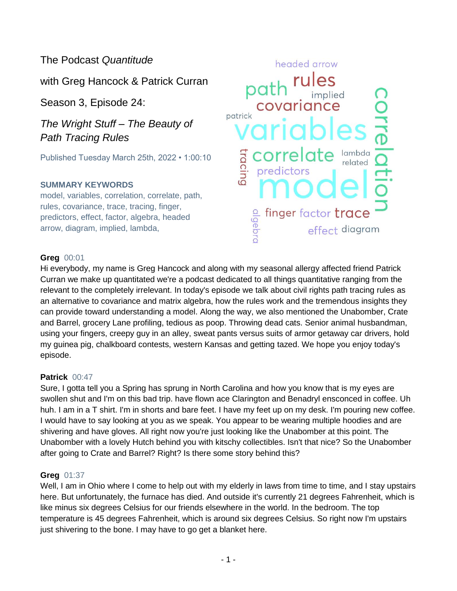# The Podcast *Quantitude*

with Greg Hancock & Patrick Curran

Season 3, Episode 24:

*The Wright Stuff – The Beauty of Path Tracing Rules*

Published Tuesday March 25th, 2022 • 1:00:10

### **SUMMARY KEYWORDS**

model, variables, correlation, correlate, path, rules, covariance, trace, tracing, finger, predictors, effect, factor, algebra, headed arrow, diagram, implied, lambda,



#### **Greg** 00:01

Hi everybody, my name is Greg Hancock and along with my seasonal allergy affected friend Patrick Curran we make up quantitated we're a podcast dedicated to all things quantitative ranging from the relevant to the completely irrelevant. In today's episode we talk about civil rights path tracing rules as an alternative to covariance and matrix algebra, how the rules work and the tremendous insights they can provide toward understanding a model. Along the way, we also mentioned the Unabomber, Crate and Barrel, grocery Lane profiling, tedious as poop. Throwing dead cats. Senior animal husbandman, using your fingers, creepy guy in an alley, sweat pants versus suits of armor getaway car drivers, hold my guinea pig, chalkboard contests, western Kansas and getting tazed. We hope you enjoy today's episode.

#### **Patrick** 00:47

Sure, I gotta tell you a Spring has sprung in North Carolina and how you know that is my eyes are swollen shut and I'm on this bad trip. have flown ace Clarington and Benadryl ensconced in coffee. Uh huh. I am in a T shirt. I'm in shorts and bare feet. I have my feet up on my desk. I'm pouring new coffee. I would have to say looking at you as we speak. You appear to be wearing multiple hoodies and are shivering and have gloves. All right now you're just looking like the Unabomber at this point. The Unabomber with a lovely Hutch behind you with kitschy collectibles. Isn't that nice? So the Unabomber after going to Crate and Barrel? Right? Is there some story behind this?

### **Greg** 01:37

Well, I am in Ohio where I come to help out with my elderly in laws from time to time, and I stay upstairs here. But unfortunately, the furnace has died. And outside it's currently 21 degrees Fahrenheit, which is like minus six degrees Celsius for our friends elsewhere in the world. In the bedroom. The top temperature is 45 degrees Fahrenheit, which is around six degrees Celsius. So right now I'm upstairs just shivering to the bone. I may have to go get a blanket here.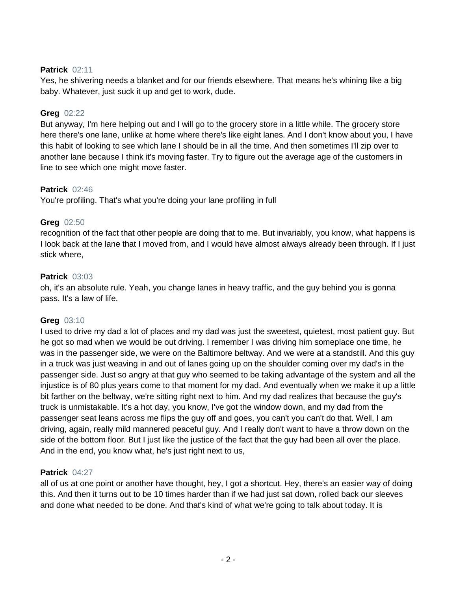### **Patrick** 02:11

Yes, he shivering needs a blanket and for our friends elsewhere. That means he's whining like a big baby. Whatever, just suck it up and get to work, dude.

### **Greg** 02:22

But anyway, I'm here helping out and I will go to the grocery store in a little while. The grocery store here there's one lane, unlike at home where there's like eight lanes. And I don't know about you, I have this habit of looking to see which lane I should be in all the time. And then sometimes I'll zip over to another lane because I think it's moving faster. Try to figure out the average age of the customers in line to see which one might move faster.

### **Patrick** 02:46

You're profiling. That's what you're doing your lane profiling in full

### **Greg** 02:50

recognition of the fact that other people are doing that to me. But invariably, you know, what happens is I look back at the lane that I moved from, and I would have almost always already been through. If I just stick where,

### **Patrick** 03:03

oh, it's an absolute rule. Yeah, you change lanes in heavy traffic, and the guy behind you is gonna pass. It's a law of life.

#### **Greg** 03:10

I used to drive my dad a lot of places and my dad was just the sweetest, quietest, most patient guy. But he got so mad when we would be out driving. I remember I was driving him someplace one time, he was in the passenger side, we were on the Baltimore beltway. And we were at a standstill. And this guy in a truck was just weaving in and out of lanes going up on the shoulder coming over my dad's in the passenger side. Just so angry at that guy who seemed to be taking advantage of the system and all the injustice is of 80 plus years come to that moment for my dad. And eventually when we make it up a little bit farther on the beltway, we're sitting right next to him. And my dad realizes that because the guy's truck is unmistakable. It's a hot day, you know, I've got the window down, and my dad from the passenger seat leans across me flips the guy off and goes, you can't you can't do that. Well, I am driving, again, really mild mannered peaceful guy. And I really don't want to have a throw down on the side of the bottom floor. But I just like the justice of the fact that the guy had been all over the place. And in the end, you know what, he's just right next to us,

#### **Patrick** 04:27

all of us at one point or another have thought, hey, I got a shortcut. Hey, there's an easier way of doing this. And then it turns out to be 10 times harder than if we had just sat down, rolled back our sleeves and done what needed to be done. And that's kind of what we're going to talk about today. It is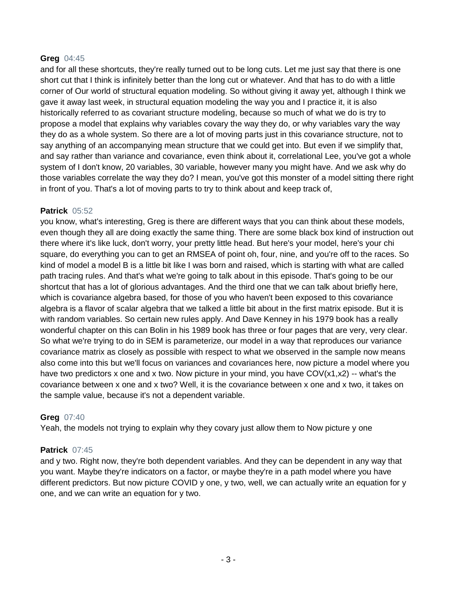#### **Greg** 04:45

and for all these shortcuts, they're really turned out to be long cuts. Let me just say that there is one short cut that I think is infinitely better than the long cut or whatever. And that has to do with a little corner of Our world of structural equation modeling. So without giving it away yet, although I think we gave it away last week, in structural equation modeling the way you and I practice it, it is also historically referred to as covariant structure modeling, because so much of what we do is try to propose a model that explains why variables covary the way they do, or why variables vary the way they do as a whole system. So there are a lot of moving parts just in this covariance structure, not to say anything of an accompanying mean structure that we could get into. But even if we simplify that, and say rather than variance and covariance, even think about it, correlational Lee, you've got a whole system of I don't know, 20 variables, 30 variable, however many you might have. And we ask why do those variables correlate the way they do? I mean, you've got this monster of a model sitting there right in front of you. That's a lot of moving parts to try to think about and keep track of,

#### **Patrick** 05:52

you know, what's interesting, Greg is there are different ways that you can think about these models, even though they all are doing exactly the same thing. There are some black box kind of instruction out there where it's like luck, don't worry, your pretty little head. But here's your model, here's your chi square, do everything you can to get an RMSEA of point oh, four, nine, and you're off to the races. So kind of model a model B is a little bit like I was born and raised, which is starting with what are called path tracing rules. And that's what we're going to talk about in this episode. That's going to be our shortcut that has a lot of glorious advantages. And the third one that we can talk about briefly here, which is covariance algebra based, for those of you who haven't been exposed to this covariance algebra is a flavor of scalar algebra that we talked a little bit about in the first matrix episode. But it is with random variables. So certain new rules apply. And Dave Kenney in his 1979 book has a really wonderful chapter on this can Bolin in his 1989 book has three or four pages that are very, very clear. So what we're trying to do in SEM is parameterize, our model in a way that reproduces our variance covariance matrix as closely as possible with respect to what we observed in the sample now means also come into this but we'll focus on variances and covariances here, now picture a model where you have two predictors x one and x two. Now picture in your mind, you have COV(x1,x2) -- what's the covariance between x one and x two? Well, it is the covariance between x one and x two, it takes on the sample value, because it's not a dependent variable.

#### **Greg** 07:40

Yeah, the models not trying to explain why they covary just allow them to Now picture y one

#### **Patrick** 07:45

and y two. Right now, they're both dependent variables. And they can be dependent in any way that you want. Maybe they're indicators on a factor, or maybe they're in a path model where you have different predictors. But now picture COVID y one, y two, well, we can actually write an equation for y one, and we can write an equation for y two.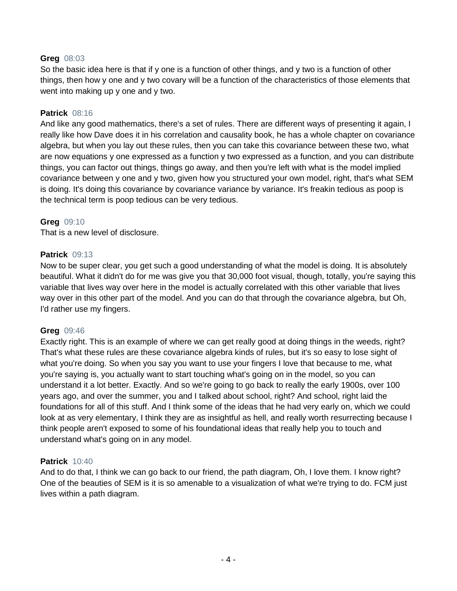#### **Greg** 08:03

So the basic idea here is that if y one is a function of other things, and y two is a function of other things, then how y one and y two covary will be a function of the characteristics of those elements that went into making up y one and y two.

#### **Patrick** 08:16

And like any good mathematics, there's a set of rules. There are different ways of presenting it again, I really like how Dave does it in his correlation and causality book, he has a whole chapter on covariance algebra, but when you lay out these rules, then you can take this covariance between these two, what are now equations y one expressed as a function y two expressed as a function, and you can distribute things, you can factor out things, things go away, and then you're left with what is the model implied covariance between y one and y two, given how you structured your own model, right, that's what SEM is doing. It's doing this covariance by covariance variance by variance. It's freakin tedious as poop is the technical term is poop tedious can be very tedious.

#### **Greg** 09:10

That is a new level of disclosure.

#### **Patrick** 09:13

Now to be super clear, you get such a good understanding of what the model is doing. It is absolutely beautiful. What it didn't do for me was give you that 30,000 foot visual, though, totally, you're saying this variable that lives way over here in the model is actually correlated with this other variable that lives way over in this other part of the model. And you can do that through the covariance algebra, but Oh, I'd rather use my fingers.

#### **Greg** 09:46

Exactly right. This is an example of where we can get really good at doing things in the weeds, right? That's what these rules are these covariance algebra kinds of rules, but it's so easy to lose sight of what you're doing. So when you say you want to use your fingers I love that because to me, what you're saying is, you actually want to start touching what's going on in the model, so you can understand it a lot better. Exactly. And so we're going to go back to really the early 1900s, over 100 years ago, and over the summer, you and I talked about school, right? And school, right laid the foundations for all of this stuff. And I think some of the ideas that he had very early on, which we could look at as very elementary, I think they are as insightful as hell, and really worth resurrecting because I think people aren't exposed to some of his foundational ideas that really help you to touch and understand what's going on in any model.

#### **Patrick** 10:40

And to do that, I think we can go back to our friend, the path diagram, Oh, I love them. I know right? One of the beauties of SEM is it is so amenable to a visualization of what we're trying to do. FCM just lives within a path diagram.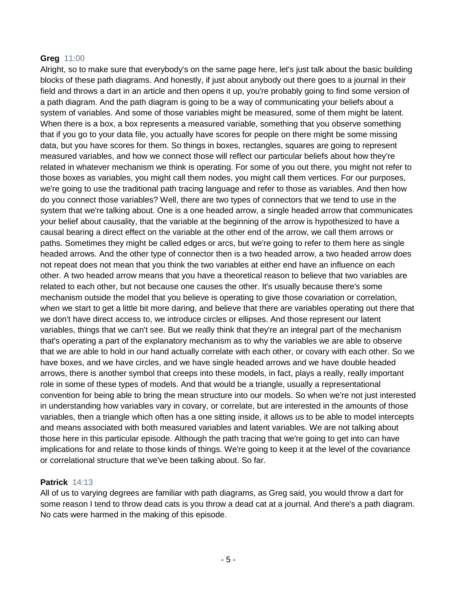#### **Greg** 11:00

Alright, so to make sure that everybody's on the same page here, let's just talk about the basic building blocks of these path diagrams. And honestly, if just about anybody out there goes to a journal in their field and throws a dart in an article and then opens it up, you're probably going to find some version of a path diagram. And the path diagram is going to be a way of communicating your beliefs about a system of variables. And some of those variables might be measured, some of them might be latent. When there is a box, a box represents a measured variable, something that you observe something that if you go to your data file, you actually have scores for people on there might be some missing data, but you have scores for them. So things in boxes, rectangles, squares are going to represent measured variables, and how we connect those will reflect our particular beliefs about how they're related in whatever mechanism we think is operating. For some of you out there, you might not refer to those boxes as variables, you might call them nodes, you might call them vertices. For our purposes, we're going to use the traditional path tracing language and refer to those as variables. And then how do you connect those variables? Well, there are two types of connectors that we tend to use in the system that we're talking about. One is a one headed arrow, a single headed arrow that communicates your belief about causality, that the variable at the beginning of the arrow is hypothesized to have a causal bearing a direct effect on the variable at the other end of the arrow, we call them arrows or paths. Sometimes they might be called edges or arcs, but we're going to refer to them here as single headed arrows. And the other type of connector then is a two headed arrow, a two headed arrow does not repeat does not mean that you think the two variables at either end have an influence on each other. A two headed arrow means that you have a theoretical reason to believe that two variables are related to each other, but not because one causes the other. It's usually because there's some mechanism outside the model that you believe is operating to give those covariation or correlation, when we start to get a little bit more daring, and believe that there are variables operating out there that we don't have direct access to, we introduce circles or ellipses. And those represent our latent variables, things that we can't see. But we really think that they're an integral part of the mechanism that's operating a part of the explanatory mechanism as to why the variables we are able to observe that we are able to hold in our hand actually correlate with each other, or covary with each other. So we have boxes, and we have circles, and we have single headed arrows and we have double headed arrows, there is another symbol that creeps into these models, in fact, plays a really, really important role in some of these types of models. And that would be a triangle, usually a representational convention for being able to bring the mean structure into our models. So when we're not just interested in understanding how variables vary in covary, or correlate, but are interested in the amounts of those variables, then a triangle which often has a one sitting inside, it allows us to be able to model intercepts and means associated with both measured variables and latent variables. We are not talking about those here in this particular episode. Although the path tracing that we're going to get into can have implications for and relate to those kinds of things. We're going to keep it at the level of the covariance or correlational structure that we've been talking about. So far.

#### **Patrick** 14:13

All of us to varying degrees are familiar with path diagrams, as Greg said, you would throw a dart for some reason I tend to throw dead cats is you throw a dead cat at a journal. And there's a path diagram. No cats were harmed in the making of this episode.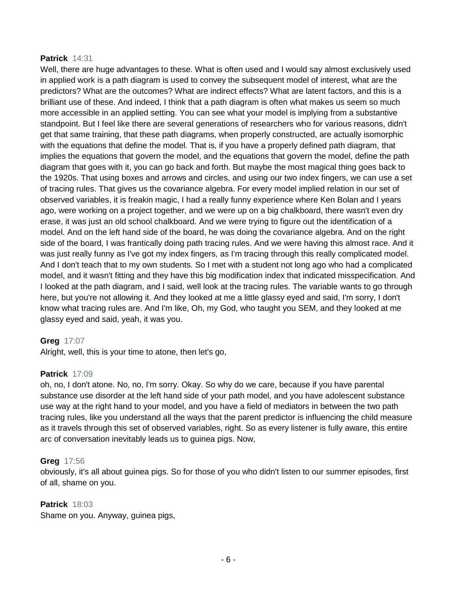#### **Patrick** 14:31

Well, there are huge advantages to these. What is often used and I would say almost exclusively used in applied work is a path diagram is used to convey the subsequent model of interest, what are the predictors? What are the outcomes? What are indirect effects? What are latent factors, and this is a brilliant use of these. And indeed, I think that a path diagram is often what makes us seem so much more accessible in an applied setting. You can see what your model is implying from a substantive standpoint. But I feel like there are several generations of researchers who for various reasons, didn't get that same training, that these path diagrams, when properly constructed, are actually isomorphic with the equations that define the model. That is, if you have a properly defined path diagram, that implies the equations that govern the model, and the equations that govern the model, define the path diagram that goes with it, you can go back and forth. But maybe the most magical thing goes back to the 1920s. That using boxes and arrows and circles, and using our two index fingers, we can use a set of tracing rules. That gives us the covariance algebra. For every model implied relation in our set of observed variables, it is freakin magic, I had a really funny experience where Ken Bolan and I years ago, were working on a project together, and we were up on a big chalkboard, there wasn't even dry erase, it was just an old school chalkboard. And we were trying to figure out the identification of a model. And on the left hand side of the board, he was doing the covariance algebra. And on the right side of the board, I was frantically doing path tracing rules. And we were having this almost race. And it was just really funny as I've got my index fingers, as I'm tracing through this really complicated model. And I don't teach that to my own students. So I met with a student not long ago who had a complicated model, and it wasn't fitting and they have this big modification index that indicated misspecification. And I looked at the path diagram, and I said, well look at the tracing rules. The variable wants to go through here, but you're not allowing it. And they looked at me a little glassy eyed and said, I'm sorry, I don't know what tracing rules are. And I'm like, Oh, my God, who taught you SEM, and they looked at me glassy eyed and said, yeah, it was you.

#### **Greg** 17:07

Alright, well, this is your time to atone, then let's go,

#### **Patrick** 17:09

oh, no, I don't atone. No, no, I'm sorry. Okay. So why do we care, because if you have parental substance use disorder at the left hand side of your path model, and you have adolescent substance use way at the right hand to your model, and you have a field of mediators in between the two path tracing rules, like you understand all the ways that the parent predictor is influencing the child measure as it travels through this set of observed variables, right. So as every listener is fully aware, this entire arc of conversation inevitably leads us to guinea pigs. Now,

#### **Greg** 17:56

obviously, it's all about guinea pigs. So for those of you who didn't listen to our summer episodes, first of all, shame on you.

#### **Patrick** 18:03

Shame on you. Anyway, guinea pigs,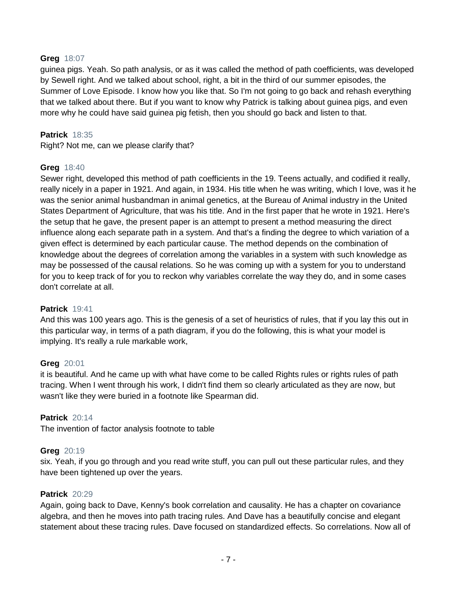#### **Greg** 18:07

guinea pigs. Yeah. So path analysis, or as it was called the method of path coefficients, was developed by Sewell right. And we talked about school, right, a bit in the third of our summer episodes, the Summer of Love Episode. I know how you like that. So I'm not going to go back and rehash everything that we talked about there. But if you want to know why Patrick is talking about guinea pigs, and even more why he could have said guinea pig fetish, then you should go back and listen to that.

#### **Patrick** 18:35

Right? Not me, can we please clarify that?

#### **Greg** 18:40

Sewer right, developed this method of path coefficients in the 19. Teens actually, and codified it really, really nicely in a paper in 1921. And again, in 1934. His title when he was writing, which I love, was it he was the senior animal husbandman in animal genetics, at the Bureau of Animal industry in the United States Department of Agriculture, that was his title. And in the first paper that he wrote in 1921. Here's the setup that he gave, the present paper is an attempt to present a method measuring the direct influence along each separate path in a system. And that's a finding the degree to which variation of a given effect is determined by each particular cause. The method depends on the combination of knowledge about the degrees of correlation among the variables in a system with such knowledge as may be possessed of the causal relations. So he was coming up with a system for you to understand for you to keep track of for you to reckon why variables correlate the way they do, and in some cases don't correlate at all.

#### **Patrick** 19:41

And this was 100 years ago. This is the genesis of a set of heuristics of rules, that if you lay this out in this particular way, in terms of a path diagram, if you do the following, this is what your model is implying. It's really a rule markable work,

#### **Greg** 20:01

it is beautiful. And he came up with what have come to be called Rights rules or rights rules of path tracing. When I went through his work, I didn't find them so clearly articulated as they are now, but wasn't like they were buried in a footnote like Spearman did.

#### **Patrick** 20:14

The invention of factor analysis footnote to table

#### **Greg** 20:19

six. Yeah, if you go through and you read write stuff, you can pull out these particular rules, and they have been tightened up over the years.

#### **Patrick** 20:29

Again, going back to Dave, Kenny's book correlation and causality. He has a chapter on covariance algebra, and then he moves into path tracing rules. And Dave has a beautifully concise and elegant statement about these tracing rules. Dave focused on standardized effects. So correlations. Now all of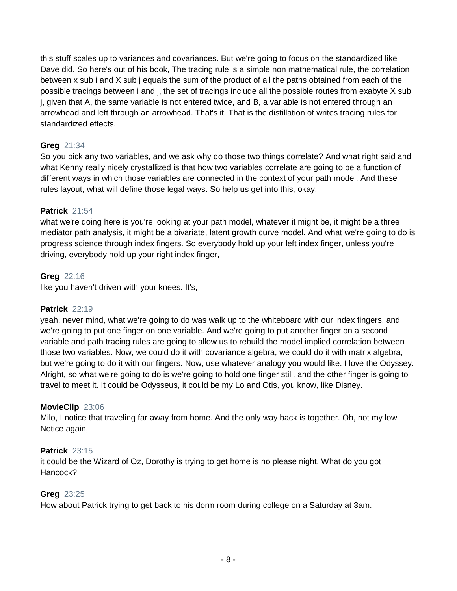this stuff scales up to variances and covariances. But we're going to focus on the standardized like Dave did. So here's out of his book, The tracing rule is a simple non mathematical rule, the correlation between x sub i and X sub j equals the sum of the product of all the paths obtained from each of the possible tracings between i and j, the set of tracings include all the possible routes from exabyte X sub j, given that A, the same variable is not entered twice, and B, a variable is not entered through an arrowhead and left through an arrowhead. That's it. That is the distillation of writes tracing rules for standardized effects.

### **Greg** 21:34

So you pick any two variables, and we ask why do those two things correlate? And what right said and what Kenny really nicely crystallized is that how two variables correlate are going to be a function of different ways in which those variables are connected in the context of your path model. And these rules layout, what will define those legal ways. So help us get into this, okay,

### **Patrick** 21:54

what we're doing here is you're looking at your path model, whatever it might be, it might be a three mediator path analysis, it might be a bivariate, latent growth curve model. And what we're going to do is progress science through index fingers. So everybody hold up your left index finger, unless you're driving, everybody hold up your right index finger,

## **Greg** 22:16

like you haven't driven with your knees. It's,

### **Patrick** 22:19

yeah, never mind, what we're going to do was walk up to the whiteboard with our index fingers, and we're going to put one finger on one variable. And we're going to put another finger on a second variable and path tracing rules are going to allow us to rebuild the model implied correlation between those two variables. Now, we could do it with covariance algebra, we could do it with matrix algebra, but we're going to do it with our fingers. Now, use whatever analogy you would like. I love the Odyssey. Alright, so what we're going to do is we're going to hold one finger still, and the other finger is going to travel to meet it. It could be Odysseus, it could be my Lo and Otis, you know, like Disney.

### **MovieClip** 23:06

Milo, I notice that traveling far away from home. And the only way back is together. Oh, not my low Notice again,

### **Patrick** 23:15

it could be the Wizard of Oz, Dorothy is trying to get home is no please night. What do you got Hancock?

### **Greg** 23:25

How about Patrick trying to get back to his dorm room during college on a Saturday at 3am.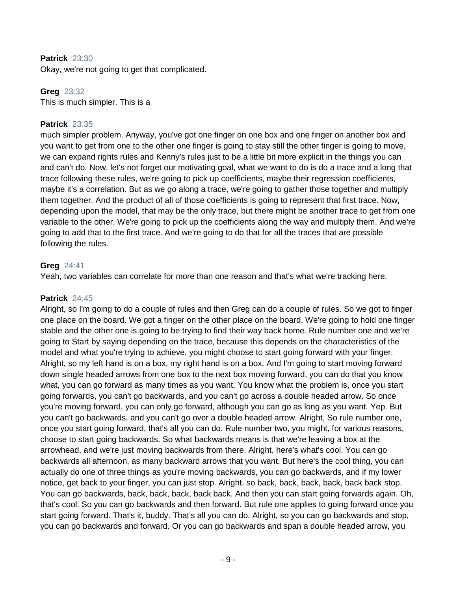#### **Patrick** 23:30

Okay, we're not going to get that complicated.

### **Greg** 23:32

This is much simpler. This is a

#### **Patrick** 23:35

much simpler problem. Anyway, you've got one finger on one box and one finger on another box and you want to get from one to the other one finger is going to stay still the other finger is going to move, we can expand rights rules and Kenny's rules just to be a little bit more explicit in the things you can and can't do. Now, let's not forget our motivating goal, what we want to do is do a trace and a long that trace following these rules, we're going to pick up coefficients, maybe their regression coefficients, maybe it's a correlation. But as we go along a trace, we're going to gather those together and multiply them together. And the product of all of those coefficients is going to represent that first trace. Now, depending upon the model, that may be the only trace, but there might be another trace to get from one variable to the other. We're going to pick up the coefficients along the way and multiply them. And we're going to add that to the first trace. And we're going to do that for all the traces that are possible following the rules.

#### **Greg** 24:41

Yeah, two variables can correlate for more than one reason and that's what we're tracking here.

#### **Patrick** 24:45

Alright, so I'm going to do a couple of rules and then Greg can do a couple of rules. So we got to finger one place on the board. We got a finger on the other place on the board. We're going to hold one finger stable and the other one is going to be trying to find their way back home. Rule number one and we're going to Start by saying depending on the trace, because this depends on the characteristics of the model and what you're trying to achieve, you might choose to start going forward with your finger. Alright, so my left hand is on a box, my right hand is on a box. And I'm going to start moving forward down single headed arrows from one box to the next box moving forward, you can do that you know what, you can go forward as many times as you want. You know what the problem is, once you start going forwards, you can't go backwards, and you can't go across a double headed arrow. So once you're moving forward, you can only go forward, although you can go as long as you want. Yep. But you can't go backwards, and you can't go over a double headed arrow. Alright, So rule number one, once you start going forward, that's all you can do. Rule number two, you might, for various reasons, choose to start going backwards. So what backwards means is that we're leaving a box at the arrowhead, and we're just moving backwards from there. Alright, here's what's cool. You can go backwards all afternoon, as many backward arrows that you want. But here's the cool thing, you can actually do one of three things as you're moving backwards, you can go backwards, and if my lower notice, get back to your finger, you can just stop. Alright, so back, back, back, back, back back stop. You can go backwards, back, back, back, back back. And then you can start going forwards again. Oh, that's cool. So you can go backwards and then forward. But rule one applies to going forward once you start going forward. That's it, buddy. That's all you can do. Alright, so you can go backwards and stop, you can go backwards and forward. Or you can go backwards and span a double headed arrow, you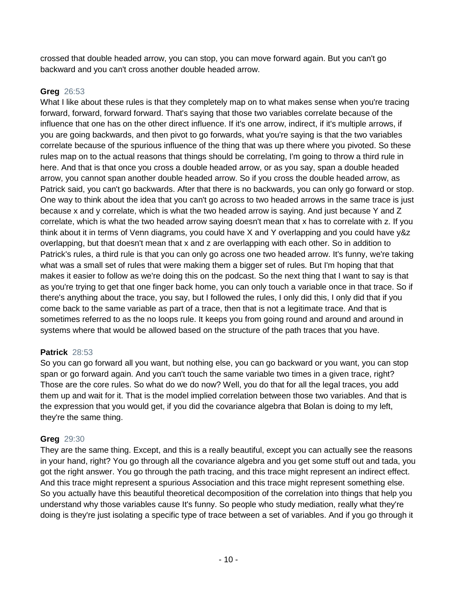crossed that double headed arrow, you can stop, you can move forward again. But you can't go backward and you can't cross another double headed arrow.

## **Greg** 26:53

What I like about these rules is that they completely map on to what makes sense when you're tracing forward, forward, forward forward. That's saying that those two variables correlate because of the influence that one has on the other direct influence. If it's one arrow, indirect, if it's multiple arrows, if you are going backwards, and then pivot to go forwards, what you're saying is that the two variables correlate because of the spurious influence of the thing that was up there where you pivoted. So these rules map on to the actual reasons that things should be correlating, I'm going to throw a third rule in here. And that is that once you cross a double headed arrow, or as you say, span a double headed arrow, you cannot span another double headed arrow. So if you cross the double headed arrow, as Patrick said, you can't go backwards. After that there is no backwards, you can only go forward or stop. One way to think about the idea that you can't go across to two headed arrows in the same trace is just because x and y correlate, which is what the two headed arrow is saying. And just because Y and Z correlate, which is what the two headed arrow saying doesn't mean that x has to correlate with z. If you think about it in terms of Venn diagrams, you could have X and Y overlapping and you could have y&z overlapping, but that doesn't mean that x and z are overlapping with each other. So in addition to Patrick's rules, a third rule is that you can only go across one two headed arrow. It's funny, we're taking what was a small set of rules that were making them a bigger set of rules. But I'm hoping that that makes it easier to follow as we're doing this on the podcast. So the next thing that I want to say is that as you're trying to get that one finger back home, you can only touch a variable once in that trace. So if there's anything about the trace, you say, but I followed the rules, I only did this, I only did that if you come back to the same variable as part of a trace, then that is not a legitimate trace. And that is sometimes referred to as the no loops rule. It keeps you from going round and around and around in systems where that would be allowed based on the structure of the path traces that you have.

### **Patrick** 28:53

So you can go forward all you want, but nothing else, you can go backward or you want, you can stop span or go forward again. And you can't touch the same variable two times in a given trace, right? Those are the core rules. So what do we do now? Well, you do that for all the legal traces, you add them up and wait for it. That is the model implied correlation between those two variables. And that is the expression that you would get, if you did the covariance algebra that Bolan is doing to my left, they're the same thing.

## **Greg** 29:30

They are the same thing. Except, and this is a really beautiful, except you can actually see the reasons in your hand, right? You go through all the covariance algebra and you get some stuff out and tada, you got the right answer. You go through the path tracing, and this trace might represent an indirect effect. And this trace might represent a spurious Association and this trace might represent something else. So you actually have this beautiful theoretical decomposition of the correlation into things that help you understand why those variables cause It's funny. So people who study mediation, really what they're doing is they're just isolating a specific type of trace between a set of variables. And if you go through it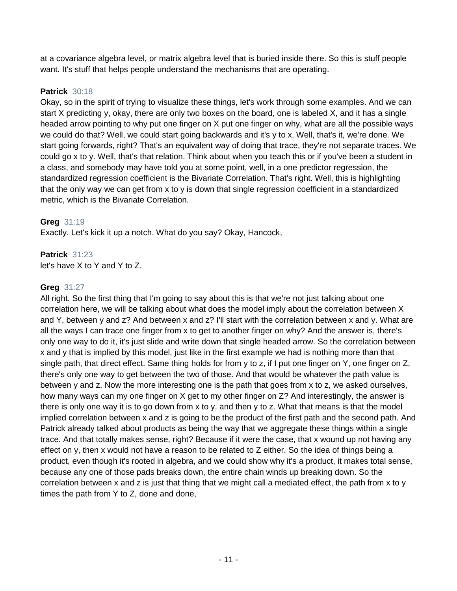at a covariance algebra level, or matrix algebra level that is buried inside there. So this is stuff people want. It's stuff that helps people understand the mechanisms that are operating.

## **Patrick** 30:18

Okay, so in the spirit of trying to visualize these things, let's work through some examples. And we can start X predicting y, okay, there are only two boxes on the board, one is labeled X, and it has a single headed arrow pointing to why put one finger on X put one finger on why, what are all the possible ways we could do that? Well, we could start going backwards and it's y to x. Well, that's it, we're done. We start going forwards, right? That's an equivalent way of doing that trace, they're not separate traces. We could go x to y. Well, that's that relation. Think about when you teach this or if you've been a student in a class, and somebody may have told you at some point, well, in a one predictor regression, the standardized regression coefficient is the Bivariate Correlation. That's right. Well, this is highlighting that the only way we can get from x to y is down that single regression coefficient in a standardized metric, which is the Bivariate Correlation.

## **Greg** 31:19

Exactly. Let's kick it up a notch. What do you say? Okay, Hancock,

# **Patrick** 31:23

let's have X to Y and Y to Z.

## **Greg** 31:27

All right. So the first thing that I'm going to say about this is that we're not just talking about one correlation here, we will be talking about what does the model imply about the correlation between X and Y, between y and z? And between x and z? I'll start with the correlation between x and y. What are all the ways I can trace one finger from x to get to another finger on why? And the answer is, there's only one way to do it, it's just slide and write down that single headed arrow. So the correlation between x and y that is implied by this model, just like in the first example we had is nothing more than that single path, that direct effect. Same thing holds for from y to z, if I put one finger on Y, one finger on Z, there's only one way to get between the two of those. And that would be whatever the path value is between y and z. Now the more interesting one is the path that goes from x to z, we asked ourselves, how many ways can my one finger on X get to my other finger on Z? And interestingly, the answer is there is only one way it is to go down from x to y, and then y to z. What that means is that the model implied correlation between x and z is going to be the product of the first path and the second path. And Patrick already talked about products as being the way that we aggregate these things within a single trace. And that totally makes sense, right? Because if it were the case, that x wound up not having any effect on y, then x would not have a reason to be related to Z either. So the idea of things being a product, even though it's rooted in algebra, and we could show why it's a product, it makes total sense, because any one of those pads breaks down, the entire chain winds up breaking down. So the correlation between x and z is just that thing that we might call a mediated effect, the path from x to y times the path from Y to Z, done and done,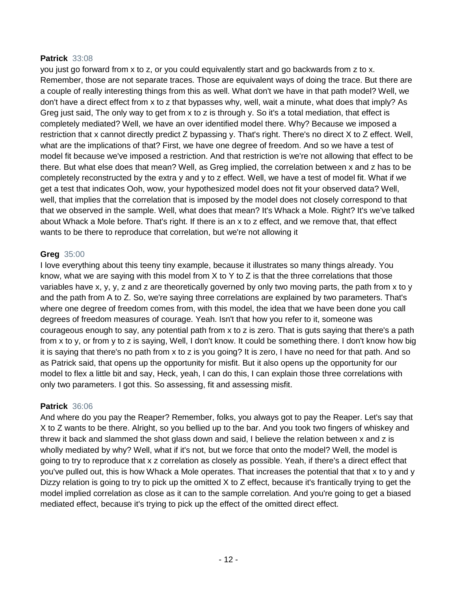### **Patrick** 33:08

you just go forward from x to z, or you could equivalently start and go backwards from z to x. Remember, those are not separate traces. Those are equivalent ways of doing the trace. But there are a couple of really interesting things from this as well. What don't we have in that path model? Well, we don't have a direct effect from x to z that bypasses why, well, wait a minute, what does that imply? As Greg just said, The only way to get from x to z is through y. So it's a total mediation, that effect is completely mediated? Well, we have an over identified model there. Why? Because we imposed a restriction that x cannot directly predict Z bypassing y. That's right. There's no direct X to Z effect. Well, what are the implications of that? First, we have one degree of freedom. And so we have a test of model fit because we've imposed a restriction. And that restriction is we're not allowing that effect to be there. But what else does that mean? Well, as Greg implied, the correlation between x and z has to be completely reconstructed by the extra y and y to z effect. Well, we have a test of model fit. What if we get a test that indicates Ooh, wow, your hypothesized model does not fit your observed data? Well, well, that implies that the correlation that is imposed by the model does not closely correspond to that that we observed in the sample. Well, what does that mean? It's Whack a Mole. Right? It's we've talked about Whack a Mole before. That's right. If there is an x to z effect, and we remove that, that effect wants to be there to reproduce that correlation, but we're not allowing it

### **Greg** 35:00

I love everything about this teeny tiny example, because it illustrates so many things already. You know, what we are saying with this model from  $X$  to  $Y$  to  $Z$  is that the three correlations that those variables have x, y, y, z and z are theoretically governed by only two moving parts, the path from x to y and the path from A to Z. So, we're saying three correlations are explained by two parameters. That's where one degree of freedom comes from, with this model, the idea that we have been done you call degrees of freedom measures of courage. Yeah. Isn't that how you refer to it, someone was courageous enough to say, any potential path from x to z is zero. That is guts saying that there's a path from x to y, or from y to z is saying, Well, I don't know. It could be something there. I don't know how big it is saying that there's no path from x to z is you going? It is zero, I have no need for that path. And so as Patrick said, that opens up the opportunity for misfit. But it also opens up the opportunity for our model to flex a little bit and say, Heck, yeah, I can do this, I can explain those three correlations with only two parameters. I got this. So assessing, fit and assessing misfit.

### **Patrick** 36:06

And where do you pay the Reaper? Remember, folks, you always got to pay the Reaper. Let's say that X to Z wants to be there. Alright, so you bellied up to the bar. And you took two fingers of whiskey and threw it back and slammed the shot glass down and said, I believe the relation between x and z is wholly mediated by why? Well, what if it's not, but we force that onto the model? Well, the model is going to try to reproduce that x z correlation as closely as possible. Yeah, if there's a direct effect that you've pulled out, this is how Whack a Mole operates. That increases the potential that that x to y and y Dizzy relation is going to try to pick up the omitted X to Z effect, because it's frantically trying to get the model implied correlation as close as it can to the sample correlation. And you're going to get a biased mediated effect, because it's trying to pick up the effect of the omitted direct effect.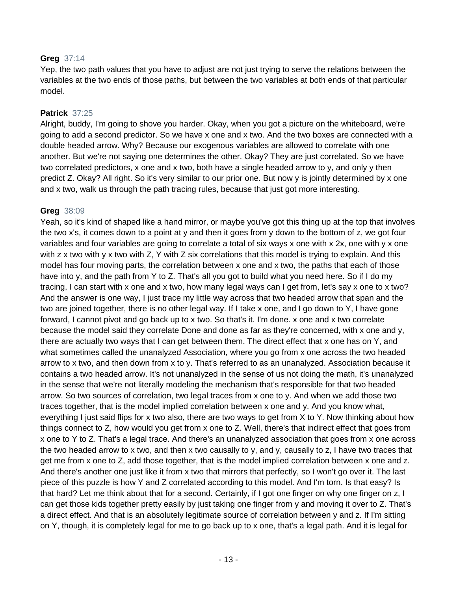#### **Greg** 37:14

Yep, the two path values that you have to adjust are not just trying to serve the relations between the variables at the two ends of those paths, but between the two variables at both ends of that particular model.

#### **Patrick** 37:25

Alright, buddy, I'm going to shove you harder. Okay, when you got a picture on the whiteboard, we're going to add a second predictor. So we have x one and x two. And the two boxes are connected with a double headed arrow. Why? Because our exogenous variables are allowed to correlate with one another. But we're not saying one determines the other. Okay? They are just correlated. So we have two correlated predictors, x one and x two, both have a single headed arrow to y, and only y then predict Z. Okay? All right. So it's very similar to our prior one. But now y is jointly determined by x one and x two, walk us through the path tracing rules, because that just got more interesting.

#### **Greg** 38:09

Yeah, so it's kind of shaped like a hand mirror, or maybe you've got this thing up at the top that involves the two x's, it comes down to a point at y and then it goes from y down to the bottom of z, we got four variables and four variables are going to correlate a total of six ways x one with x 2x, one with y x one with z x two with y x two with Z, Y with Z six correlations that this model is trying to explain. And this model has four moving parts, the correlation between x one and x two, the paths that each of those have into y, and the path from Y to Z. That's all you got to build what you need here. So if I do my tracing, I can start with x one and x two, how many legal ways can I get from, let's say x one to x two? And the answer is one way, I just trace my little way across that two headed arrow that span and the two are joined together, there is no other legal way. If I take x one, and I go down to Y, I have gone forward, I cannot pivot and go back up to x two. So that's it. I'm done. x one and x two correlate because the model said they correlate Done and done as far as they're concerned, with x one and y, there are actually two ways that I can get between them. The direct effect that x one has on Y, and what sometimes called the unanalyzed Association, where you go from x one across the two headed arrow to x two, and then down from x to y. That's referred to as an unanalyzed. Association because it contains a two headed arrow. It's not unanalyzed in the sense of us not doing the math, it's unanalyzed in the sense that we're not literally modeling the mechanism that's responsible for that two headed arrow. So two sources of correlation, two legal traces from x one to y. And when we add those two traces together, that is the model implied correlation between x one and y. And you know what, everything I just said flips for x two also, there are two ways to get from X to Y. Now thinking about how things connect to Z, how would you get from x one to Z. Well, there's that indirect effect that goes from x one to Y to Z. That's a legal trace. And there's an unanalyzed association that goes from x one across the two headed arrow to x two, and then x two causally to y, and y, causally to z, I have two traces that get me from x one to Z, add those together, that is the model implied correlation between x one and z. And there's another one just like it from x two that mirrors that perfectly, so I won't go over it. The last piece of this puzzle is how Y and Z correlated according to this model. And I'm torn. Is that easy? Is that hard? Let me think about that for a second. Certainly, if I got one finger on why one finger on z, I can get those kids together pretty easily by just taking one finger from y and moving it over to Z. That's a direct effect. And that is an absolutely legitimate source of correlation between y and z. If I'm sitting on Y, though, it is completely legal for me to go back up to x one, that's a legal path. And it is legal for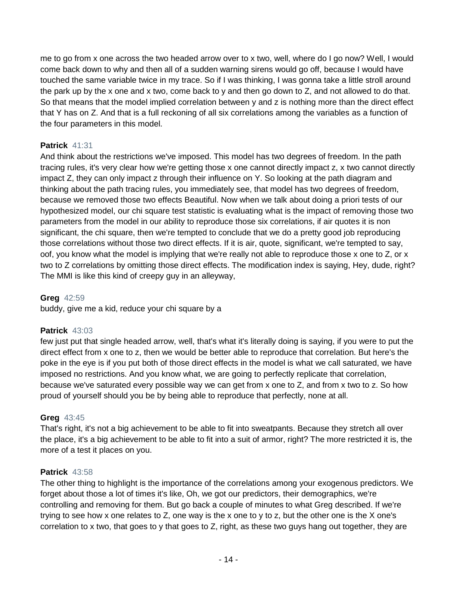me to go from x one across the two headed arrow over to x two, well, where do I go now? Well, I would come back down to why and then all of a sudden warning sirens would go off, because I would have touched the same variable twice in my trace. So if I was thinking, I was gonna take a little stroll around the park up by the x one and x two, come back to y and then go down to Z, and not allowed to do that. So that means that the model implied correlation between y and z is nothing more than the direct effect that Y has on Z. And that is a full reckoning of all six correlations among the variables as a function of the four parameters in this model.

### **Patrick** 41:31

And think about the restrictions we've imposed. This model has two degrees of freedom. In the path tracing rules, it's very clear how we're getting those x one cannot directly impact z, x two cannot directly impact Z, they can only impact z through their influence on Y. So looking at the path diagram and thinking about the path tracing rules, you immediately see, that model has two degrees of freedom, because we removed those two effects Beautiful. Now when we talk about doing a priori tests of our hypothesized model, our chi square test statistic is evaluating what is the impact of removing those two parameters from the model in our ability to reproduce those six correlations, if air quotes it is non significant, the chi square, then we're tempted to conclude that we do a pretty good job reproducing those correlations without those two direct effects. If it is air, quote, significant, we're tempted to say, oof, you know what the model is implying that we're really not able to reproduce those x one to Z, or x two to Z correlations by omitting those direct effects. The modification index is saying, Hey, dude, right? The MMI is like this kind of creepy guy in an alleyway,

### **Greg** 42:59

buddy, give me a kid, reduce your chi square by a

### **Patrick** 43:03

few just put that single headed arrow, well, that's what it's literally doing is saying, if you were to put the direct effect from x one to z, then we would be better able to reproduce that correlation. But here's the poke in the eye is if you put both of those direct effects in the model is what we call saturated, we have imposed no restrictions. And you know what, we are going to perfectly replicate that correlation, because we've saturated every possible way we can get from x one to Z, and from x two to z. So how proud of yourself should you be by being able to reproduce that perfectly, none at all.

### **Greg** 43:45

That's right, it's not a big achievement to be able to fit into sweatpants. Because they stretch all over the place, it's a big achievement to be able to fit into a suit of armor, right? The more restricted it is, the more of a test it places on you.

### **Patrick** 43:58

The other thing to highlight is the importance of the correlations among your exogenous predictors. We forget about those a lot of times it's like, Oh, we got our predictors, their demographics, we're controlling and removing for them. But go back a couple of minutes to what Greg described. If we're trying to see how x one relates to Z, one way is the x one to y to z, but the other one is the X one's correlation to x two, that goes to y that goes to Z, right, as these two guys hang out together, they are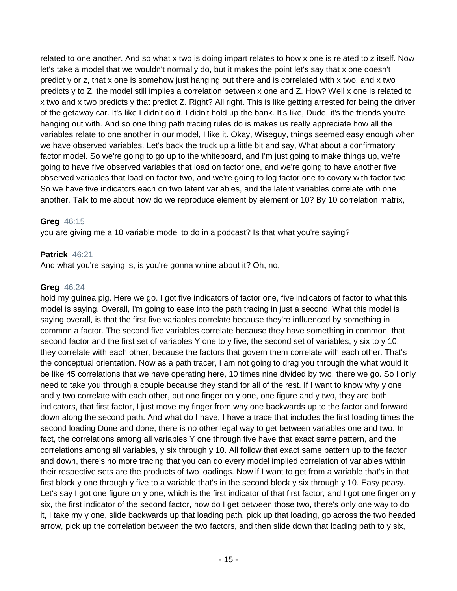related to one another. And so what x two is doing impart relates to how x one is related to z itself. Now let's take a model that we wouldn't normally do, but it makes the point let's say that x one doesn't predict y or z, that x one is somehow just hanging out there and is correlated with x two, and x two predicts y to Z, the model still implies a correlation between x one and Z. How? Well x one is related to x two and x two predicts y that predict Z. Right? All right. This is like getting arrested for being the driver of the getaway car. It's like I didn't do it. I didn't hold up the bank. It's like, Dude, it's the friends you're hanging out with. And so one thing path tracing rules do is makes us really appreciate how all the variables relate to one another in our model, I like it. Okay, Wiseguy, things seemed easy enough when we have observed variables. Let's back the truck up a little bit and say, What about a confirmatory factor model. So we're going to go up to the whiteboard, and I'm just going to make things up, we're going to have five observed variables that load on factor one, and we're going to have another five observed variables that load on factor two, and we're going to log factor one to covary with factor two. So we have five indicators each on two latent variables, and the latent variables correlate with one another. Talk to me about how do we reproduce element by element or 10? By 10 correlation matrix,

## **Greg** 46:15

you are giving me a 10 variable model to do in a podcast? Is that what you're saying?

## **Patrick** 46:21

And what you're saying is, is you're gonna whine about it? Oh, no,

### **Greg** 46:24

hold my guinea pig. Here we go. I got five indicators of factor one, five indicators of factor to what this model is saying. Overall, I'm going to ease into the path tracing in just a second. What this model is saying overall, is that the first five variables correlate because they're influenced by something in common a factor. The second five variables correlate because they have something in common, that second factor and the first set of variables Y one to y five, the second set of variables, y six to y 10, they correlate with each other, because the factors that govern them correlate with each other. That's the conceptual orientation. Now as a path tracer, I am not going to drag you through the what would it be like 45 correlations that we have operating here, 10 times nine divided by two, there we go. So I only need to take you through a couple because they stand for all of the rest. If I want to know why y one and y two correlate with each other, but one finger on y one, one figure and y two, they are both indicators, that first factor, I just move my finger from why one backwards up to the factor and forward down along the second path. And what do I have, I have a trace that includes the first loading times the second loading Done and done, there is no other legal way to get between variables one and two. In fact, the correlations among all variables Y one through five have that exact same pattern, and the correlations among all variables, y six through y 10. All follow that exact same pattern up to the factor and down, there's no more tracing that you can do every model implied correlation of variables within their respective sets are the products of two loadings. Now if I want to get from a variable that's in that first block y one through y five to a variable that's in the second block y six through y 10. Easy peasy. Let's say I got one figure on y one, which is the first indicator of that first factor, and I got one finger on y six, the first indicator of the second factor, how do I get between those two, there's only one way to do it, I take my y one, slide backwards up that loading path, pick up that loading, go across the two headed arrow, pick up the correlation between the two factors, and then slide down that loading path to y six,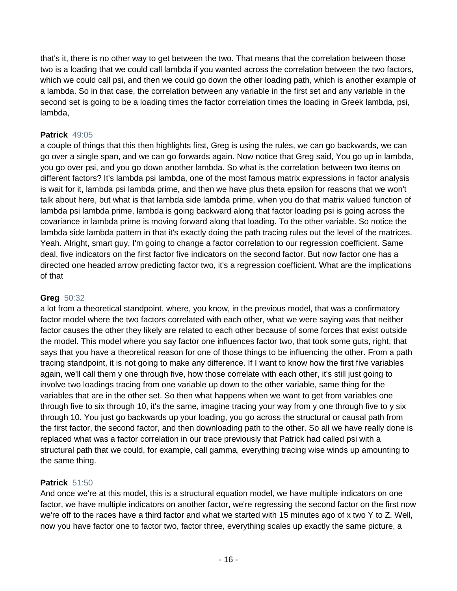that's it, there is no other way to get between the two. That means that the correlation between those two is a loading that we could call lambda if you wanted across the correlation between the two factors, which we could call psi, and then we could go down the other loading path, which is another example of a lambda. So in that case, the correlation between any variable in the first set and any variable in the second set is going to be a loading times the factor correlation times the loading in Greek lambda, psi, lambda,

### **Patrick** 49:05

a couple of things that this then highlights first, Greg is using the rules, we can go backwards, we can go over a single span, and we can go forwards again. Now notice that Greg said, You go up in lambda, you go over psi, and you go down another lambda. So what is the correlation between two items on different factors? It's lambda psi lambda, one of the most famous matrix expressions in factor analysis is wait for it, lambda psi lambda prime, and then we have plus theta epsilon for reasons that we won't talk about here, but what is that lambda side lambda prime, when you do that matrix valued function of lambda psi lambda prime, lambda is going backward along that factor loading psi is going across the covariance in lambda prime is moving forward along that loading. To the other variable. So notice the lambda side lambda pattern in that it's exactly doing the path tracing rules out the level of the matrices. Yeah. Alright, smart guy, I'm going to change a factor correlation to our regression coefficient. Same deal, five indicators on the first factor five indicators on the second factor. But now factor one has a directed one headed arrow predicting factor two, it's a regression coefficient. What are the implications of that

### **Greg** 50:32

a lot from a theoretical standpoint, where, you know, in the previous model, that was a confirmatory factor model where the two factors correlated with each other, what we were saying was that neither factor causes the other they likely are related to each other because of some forces that exist outside the model. This model where you say factor one influences factor two, that took some guts, right, that says that you have a theoretical reason for one of those things to be influencing the other. From a path tracing standpoint, it is not going to make any difference. If I want to know how the first five variables again, we'll call them y one through five, how those correlate with each other, it's still just going to involve two loadings tracing from one variable up down to the other variable, same thing for the variables that are in the other set. So then what happens when we want to get from variables one through five to six through 10, it's the same, imagine tracing your way from y one through five to y six through 10. You just go backwards up your loading, you go across the structural or causal path from the first factor, the second factor, and then downloading path to the other. So all we have really done is replaced what was a factor correlation in our trace previously that Patrick had called psi with a structural path that we could, for example, call gamma, everything tracing wise winds up amounting to the same thing.

## **Patrick** 51:50

And once we're at this model, this is a structural equation model, we have multiple indicators on one factor, we have multiple indicators on another factor, we're regressing the second factor on the first now we're off to the races have a third factor and what we started with 15 minutes ago of x two Y to Z. Well, now you have factor one to factor two, factor three, everything scales up exactly the same picture, a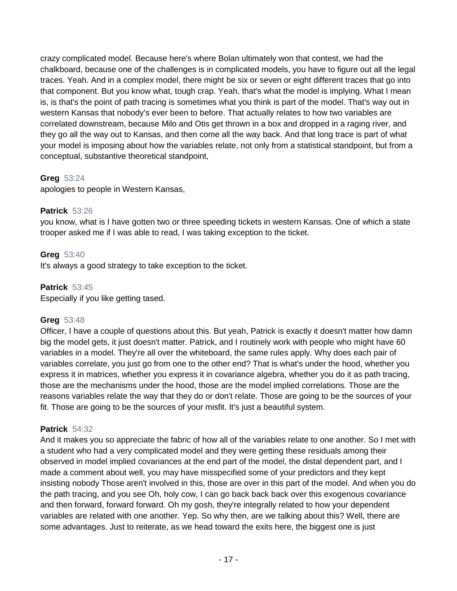crazy complicated model. Because here's where Bolan ultimately won that contest, we had the chalkboard, because one of the challenges is in complicated models, you have to figure out all the legal traces. Yeah. And in a complex model, there might be six or seven or eight different traces that go into that component. But you know what, tough crap. Yeah, that's what the model is implying. What I mean is, is that's the point of path tracing is sometimes what you think is part of the model. That's way out in western Kansas that nobody's ever been to before. That actually relates to how two variables are correlated downstream, because Milo and Otis get thrown in a box and dropped in a raging river, and they go all the way out to Kansas, and then come all the way back. And that long trace is part of what your model is imposing about how the variables relate, not only from a statistical standpoint, but from a conceptual, substantive theoretical standpoint,

### **Greg** 53:24

apologies to people in Western Kansas,

### **Patrick** 53:26

you know, what is I have gotten two or three speeding tickets in western Kansas. One of which a state trooper asked me if I was able to read, I was taking exception to the ticket.

### **Greg** 53:40

It's always a good strategy to take exception to the ticket.

### **Patrick** 53:45

Especially if you like getting tased.

### **Greg** 53:48

Officer, I have a couple of questions about this. But yeah, Patrick is exactly it doesn't matter how damn big the model gets, it just doesn't matter. Patrick, and I routinely work with people who might have 60 variables in a model. They're all over the whiteboard, the same rules apply. Why does each pair of variables correlate, you just go from one to the other end? That is what's under the hood, whether you express it in matrices, whether you express it in covariance algebra, whether you do it as path tracing, those are the mechanisms under the hood, those are the model implied correlations. Those are the reasons variables relate the way that they do or don't relate. Those are going to be the sources of your fit. Those are going to be the sources of your misfit. It's just a beautiful system.

### **Patrick** 54:32

And it makes you so appreciate the fabric of how all of the variables relate to one another. So I met with a student who had a very complicated model and they were getting these residuals among their observed in model implied covariances at the end part of the model, the distal dependent part, and I made a comment about well, you may have misspecified some of your predictors and they kept insisting nobody Those aren't involved in this, those are over in this part of the model. And when you do the path tracing, and you see Oh, holy cow, I can go back back back over this exogenous covariance and then forward, forward forward. Oh my gosh, they're integrally related to how your dependent variables are related with one another. Yep. So why then, are we talking about this? Well, there are some advantages. Just to reiterate, as we head toward the exits here, the biggest one is just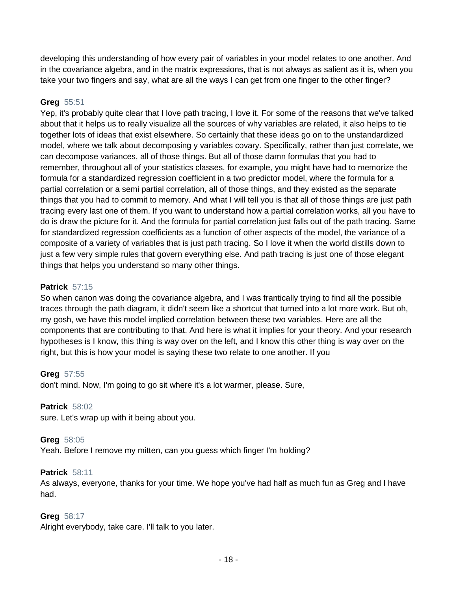developing this understanding of how every pair of variables in your model relates to one another. And in the covariance algebra, and in the matrix expressions, that is not always as salient as it is, when you take your two fingers and say, what are all the ways I can get from one finger to the other finger?

### **Greg** 55:51

Yep, it's probably quite clear that I love path tracing, I love it. For some of the reasons that we've talked about that it helps us to really visualize all the sources of why variables are related, it also helps to tie together lots of ideas that exist elsewhere. So certainly that these ideas go on to the unstandardized model, where we talk about decomposing y variables covary. Specifically, rather than just correlate, we can decompose variances, all of those things. But all of those damn formulas that you had to remember, throughout all of your statistics classes, for example, you might have had to memorize the formula for a standardized regression coefficient in a two predictor model, where the formula for a partial correlation or a semi partial correlation, all of those things, and they existed as the separate things that you had to commit to memory. And what I will tell you is that all of those things are just path tracing every last one of them. If you want to understand how a partial correlation works, all you have to do is draw the picture for it. And the formula for partial correlation just falls out of the path tracing. Same for standardized regression coefficients as a function of other aspects of the model, the variance of a composite of a variety of variables that is just path tracing. So I love it when the world distills down to just a few very simple rules that govern everything else. And path tracing is just one of those elegant things that helps you understand so many other things.

### **Patrick** 57:15

So when canon was doing the covariance algebra, and I was frantically trying to find all the possible traces through the path diagram, it didn't seem like a shortcut that turned into a lot more work. But oh, my gosh, we have this model implied correlation between these two variables. Here are all the components that are contributing to that. And here is what it implies for your theory. And your research hypotheses is I know, this thing is way over on the left, and I know this other thing is way over on the right, but this is how your model is saying these two relate to one another. If you

#### **Greg** 57:55

don't mind. Now, I'm going to go sit where it's a lot warmer, please. Sure,

#### **Patrick** 58:02

sure. Let's wrap up with it being about you.

#### **Greg** 58:05

Yeah. Before I remove my mitten, can you guess which finger I'm holding?

#### **Patrick** 58:11

As always, everyone, thanks for your time. We hope you've had half as much fun as Greg and I have had.

#### **Greg** 58:17

Alright everybody, take care. I'll talk to you later.